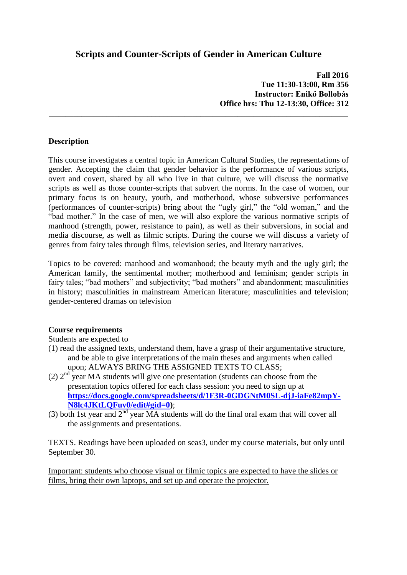## **Scripts and Counter-Scripts of Gender in American Culture**

\_\_\_\_\_\_\_\_\_\_\_\_\_\_\_\_\_\_\_\_\_\_\_\_\_\_\_\_\_\_\_\_\_\_\_\_\_\_\_\_\_\_\_\_\_\_\_\_\_\_\_\_\_\_\_\_\_\_\_\_\_\_\_\_\_\_\_\_\_\_\_\_\_

**Fall 2016 Tue 11:30-13:00, Rm 356 Instructor: Enikő Bollobás Office hrs: Thu 12-13:30, Office: 312**

#### **Description**

This course investigates a central topic in American Cultural Studies, the representations of gender. Accepting the claim that gender behavior is the performance of various scripts, overt and covert, shared by all who live in that culture, we will discuss the normative scripts as well as those counter-scripts that subvert the norms. In the case of women, our primary focus is on beauty, youth, and motherhood, whose subversive performances (performances of counter-scripts) bring about the "ugly girl," the "old woman," and the "bad mother." In the case of men, we will also explore the various normative scripts of manhood (strength, power, resistance to pain), as well as their subversions, in social and media discourse, as well as filmic scripts. During the course we will discuss a variety of genres from fairy tales through films, television series, and literary narratives.

Topics to be covered: manhood and womanhood; the beauty myth and the ugly girl; the American family, the sentimental mother; motherhood and feminism; gender scripts in fairy tales; "bad mothers" and subjectivity; "bad mothers" and abandonment; masculinities in history; masculinities in mainstream American literature; masculinities and television; gender-centered dramas on television

#### **Course requirements**

Students are expected to

- (1) read the assigned texts, understand them, have a grasp of their argumentative structure, and be able to give interpretations of the main theses and arguments when called upon; ALWAYS BRING THE ASSIGNED TEXTS TO CLASS;
- (2)  $2<sup>nd</sup>$  year MA students will give one presentation (students can choose from the presentation topics offered for each class session: you need to sign up at **[https://docs.google.com/spreadsheets/d/1F3R-0GDGNtM0SL-djJ-iaFe82mpY-](https://docs.google.com/spreadsheets/d/1F3R-0GDGNtM0SL-djJ-iaFe82mpY-N8lc4JKtLQFuv0/edit#gid=0)[N8lc4JKtLQFuv0/edit#gid=0\)](https://docs.google.com/spreadsheets/d/1F3R-0GDGNtM0SL-djJ-iaFe82mpY-N8lc4JKtLQFuv0/edit#gid=0)**;
- (3) both 1st year and  $2<sup>nd</sup>$  year MA students will do the final oral exam that will cover all the assignments and presentations.

TEXTS. Readings have been uploaded on seas3, under my course materials, but only until September 30.

Important: students who choose visual or filmic topics are expected to have the slides or films, bring their own laptops, and set up and operate the projector.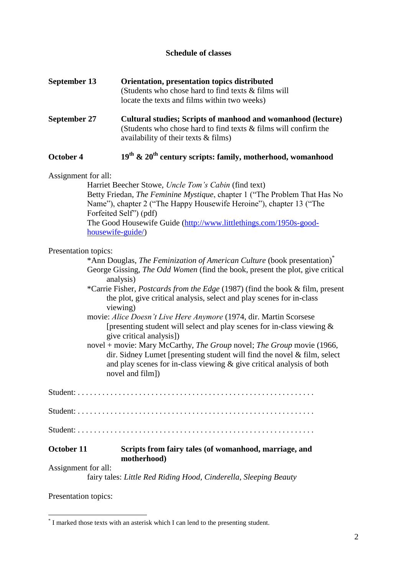### **Schedule of classes**

| September 13 | Orientation, presentation topics distributed           |
|--------------|--------------------------------------------------------|
|              | (Students who chose hard to find texts $\&$ films will |
|              | locate the texts and films within two weeks)           |

**September 27 Cultural studies; Scripts of manhood and womanhood (lecture)** (Students who chose hard to find texts & films will confirm the availability of their texts & films)

# **October 4 19th & 20th century scripts: family, motherhood, womanhood**

Assignment for all:

Harriet Beecher Stowe, *Uncle Tom's Cabin* (find text) Betty Friedan, *The Feminine Mystique*, chapter 1 ("The Problem That Has No Name"), chapter 2 ("The Happy Housewife Heroine"), chapter 13 ("The Forfeited Self") (pdf) The Good Housewife Guide [\(http://www.littlethings.com/1950s-good](http://www.littlethings.com/1950s-good-housewife-guide/)[housewife-guide/\)](http://www.littlethings.com/1950s-good-housewife-guide/)

#### Presentation topics:

| *Ann Douglas, The Feminization of American Culture (book presentation) <sup>*</sup>  |
|--------------------------------------------------------------------------------------|
| George Gissing, <i>The Odd Women</i> (find the book, present the plot, give critical |
| analysis)                                                                            |

- \*Carrie Fisher, *Postcards from the Edge* (1987) (find the book & film, present the plot, give critical analysis, select and play scenes for in-class viewing)
- movie: *Alice Doesn't Live Here Anymore* (1974, dir. Martin Scorsese [presenting student will select and play scenes for in-class viewing  $\&$ give critical analysis])
- novel + movie: Mary McCarthy, *The Group* novel; *The Group* movie (1966, dir. Sidney Lumet [presenting student will find the novel & film, select and play scenes for in-class viewing & give critical analysis of both novel and film])

|                     | fairy tales: Little Red Riding Hood, Cinderella, Sleeping Beauty     |
|---------------------|----------------------------------------------------------------------|
| Assignment for all: |                                                                      |
| October 11          | Scripts from fairy tales (of womanhood, marriage, and<br>motherhood) |
|                     |                                                                      |
|                     |                                                                      |
|                     |                                                                      |

Presentation topics:

1

<sup>\*</sup> I marked those texts with an asterisk which I can lend to the presenting student.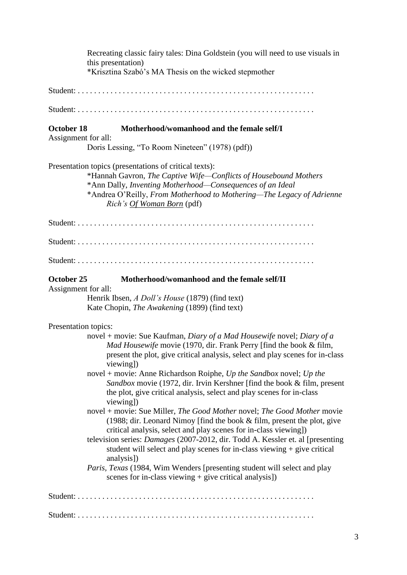Recreating classic fairy tales: Dina Goldstein (you will need to use visuals in this presentation) \*Krisztina Szabó's MA Thesis on the wicked stepmother Student: . . . . . . . . . . . . . . . . . . . . . . . . . . . . . . . . . . . . . . . . . . . . . . . . . . . . . . . . . . Student: . . . . . . . . . . . . . . . . . . . . . . . . . . . . . . . . . . . . . . . . . . . . . . . . . . . . . . . . . . **October 18 Motherhood/womanhood and the female self/I** Assignment for all: Doris Lessing, "To Room Nineteen" (1978) (pdf)) Presentation topics (presentations of critical texts): \*Hannah Gavron, *The Captive Wife—Conflicts of Housebound Mothers* \*Ann Dally, *Inventing Motherhood—Consequences of an Ideal* \*Andrea O'Reilly, *From Motherhood to Mothering—The Legacy of Adrienne Rich's Of Woman Born* (pdf) Student: . . . . . . . . . . . . . . . . . . . . . . . . . . . . . . . . . . . . . . . . . . . . . . . . . . . . . . . . . . Student: . . . . . . . . . . . . . . . . . . . . . . . . . . . . . . . . . . . . . . . . . . . . . . . . . . . . . . . . . . Student: . . . . . . . . . . . . . . . . . . . . . . . . . . . . . . . . . . . . . . . . . . . . . . . . . . . . . . . . . . **October 25 Motherhood/womanhood and the female self/II** Assignment for all: Henrik Ibsen, *A Doll's House* (1879) (find text) Kate Chopin, *The Awakening* (1899) (find text) Presentation topics: novel + movie: Sue Kaufman, *Diary of a Mad Housewife* novel; *Diary of a Mad Housewife* movie (1970, dir. Frank Perry [find the book & film, present the plot, give critical analysis, select and play scenes for in-class viewing]) novel + movie: Anne Richardson Roiphe, *Up the Sandbox* novel; *Up the Sandbox* movie (1972, dir. Irvin Kershner [find the book & film, present the plot, give critical analysis, select and play scenes for in-class viewing]) novel + movie: Sue Miller, *The Good Mother* novel; *The Good Mother* movie (1988; dir. Leonard Nimoy [find the book & film, present the plot, give critical analysis, select and play scenes for in-class viewing]) television series: *Damages* (2007-2012, dir. Todd A. Kessler et. al [presenting student will select and play scenes for in-class viewing + give critical analysis]) *Paris, Texas* (1984, Wim Wenders [presenting student will select and play scenes for in-class viewing  $+$  give critical analysis]) Student: . . . . . . . . . . . . . . . . . . . . . . . . . . . . . . . . . . . . . . . . . . . . . . . . . . . . . . . . . . Student: . . . . . . . . . . . . . . . . . . . . . . . . . . . . . . . . . . . . . . . . . . . . . . . . . . . . . . . . . .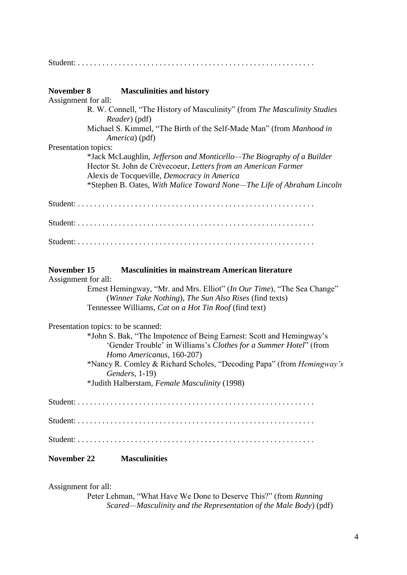| November 8                         | <b>Masculinities and history</b>                                                                                                                                                       |  |
|------------------------------------|----------------------------------------------------------------------------------------------------------------------------------------------------------------------------------------|--|
| Assignment for all:                |                                                                                                                                                                                        |  |
|                                    | R. W. Connell, "The History of Masculinity" (from The Masculinity Studies<br><i>Reader</i> ) (pdf)                                                                                     |  |
|                                    | Michael S. Kimmel, "The Birth of the Self-Made Man" (from Manhood in<br>America) (pdf)                                                                                                 |  |
| Presentation topics:               |                                                                                                                                                                                        |  |
|                                    | *Jack McLaughlin, Jefferson and Monticello—The Biography of a Builder<br>Hector St. John de Crèvecoeur, Letters from an American Farmer<br>Alexis de Tocqueville, Democracy in America |  |
|                                    | *Stephen B. Oates, With Malice Toward None—The Life of Abraham Lincoln                                                                                                                 |  |
|                                    |                                                                                                                                                                                        |  |
|                                    |                                                                                                                                                                                        |  |
|                                    |                                                                                                                                                                                        |  |
| November 15<br>Assignment for all: | <b>Masculinities in mainstream American literature</b>                                                                                                                                 |  |
|                                    | Ernest Hemingway, "Mr. and Mrs. Elliot" (In Our Time), "The Sea Change"<br>(Winner Take Nothing), The Sun Also Rises (find texts)                                                      |  |
|                                    | Tennessee Williams, Cat on a Hot Tin Roof (find text)                                                                                                                                  |  |
|                                    | Presentation topics: to be scanned:                                                                                                                                                    |  |
|                                    | *John S. Bak, "The Impotence of Being Earnest: Scott and Hemingway's<br>'Gender Trouble' in Williams's Clothes for a Summer Hotel" (from<br>Homo Americanus, 160-207)                  |  |
|                                    | *Nancy R. Comley & Richard Scholes, "Decoding Papa" (from <i>Hemingway's</i><br>Genders, 1-19)<br>*Judith Halberstam, Female Masculinity (1998)                                        |  |
|                                    |                                                                                                                                                                                        |  |
|                                    |                                                                                                                                                                                        |  |
|                                    |                                                                                                                                                                                        |  |
|                                    |                                                                                                                                                                                        |  |
| <b>November 22</b>                 | <b>Masculinities</b>                                                                                                                                                                   |  |

Assignment for all:

Peter Lehman, "What Have We Done to Deserve This?" (from *Running Scared—Masculinity and the Representation of the Male Body*) (pdf)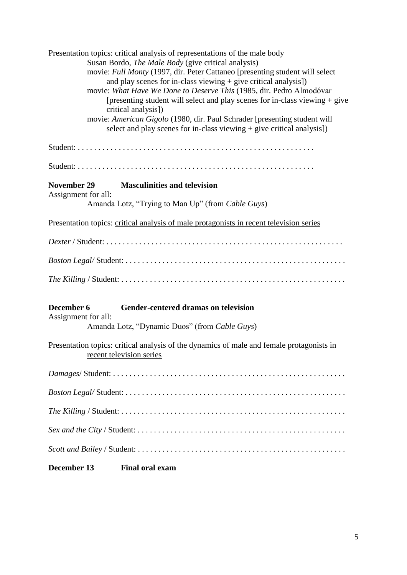| Presentation topics: critical analysis of representations of the male body<br>Susan Bordo, <i>The Male Body</i> (give critical analysis)<br>movie: Full Monty (1997, dir. Peter Cattaneo [presenting student will select<br>and play scenes for in-class viewing $+$ give critical analysis])<br>movie: What Have We Done to Deserve This (1985, dir. Pedro Almodóvar<br>[presenting student will select and play scenes for in-class viewing $+$ give<br>critical analysis])<br>movie: American Gigolo (1980, dir. Paul Schrader [presenting student will<br>select and play scenes for in-class viewing + give critical analysis]) |  |  |  |  |
|--------------------------------------------------------------------------------------------------------------------------------------------------------------------------------------------------------------------------------------------------------------------------------------------------------------------------------------------------------------------------------------------------------------------------------------------------------------------------------------------------------------------------------------------------------------------------------------------------------------------------------------|--|--|--|--|
|                                                                                                                                                                                                                                                                                                                                                                                                                                                                                                                                                                                                                                      |  |  |  |  |
|                                                                                                                                                                                                                                                                                                                                                                                                                                                                                                                                                                                                                                      |  |  |  |  |
| <b>Masculinities and television</b><br>November 29<br>Assignment for all:                                                                                                                                                                                                                                                                                                                                                                                                                                                                                                                                                            |  |  |  |  |
| Amanda Lotz, "Trying to Man Up" (from Cable Guys)                                                                                                                                                                                                                                                                                                                                                                                                                                                                                                                                                                                    |  |  |  |  |
| Presentation topics: critical analysis of male protagonists in recent television series                                                                                                                                                                                                                                                                                                                                                                                                                                                                                                                                              |  |  |  |  |
|                                                                                                                                                                                                                                                                                                                                                                                                                                                                                                                                                                                                                                      |  |  |  |  |
|                                                                                                                                                                                                                                                                                                                                                                                                                                                                                                                                                                                                                                      |  |  |  |  |
|                                                                                                                                                                                                                                                                                                                                                                                                                                                                                                                                                                                                                                      |  |  |  |  |
| December 6<br>Gender-centered dramas on television                                                                                                                                                                                                                                                                                                                                                                                                                                                                                                                                                                                   |  |  |  |  |
| Assignment for all:<br>Amanda Lotz, "Dynamic Duos" (from Cable Guys)                                                                                                                                                                                                                                                                                                                                                                                                                                                                                                                                                                 |  |  |  |  |
| Presentation topics: critical analysis of the dynamics of male and female protagonists in<br>recent television series                                                                                                                                                                                                                                                                                                                                                                                                                                                                                                                |  |  |  |  |
|                                                                                                                                                                                                                                                                                                                                                                                                                                                                                                                                                                                                                                      |  |  |  |  |
|                                                                                                                                                                                                                                                                                                                                                                                                                                                                                                                                                                                                                                      |  |  |  |  |
|                                                                                                                                                                                                                                                                                                                                                                                                                                                                                                                                                                                                                                      |  |  |  |  |
|                                                                                                                                                                                                                                                                                                                                                                                                                                                                                                                                                                                                                                      |  |  |  |  |
|                                                                                                                                                                                                                                                                                                                                                                                                                                                                                                                                                                                                                                      |  |  |  |  |
| December 13<br><b>Final oral exam</b>                                                                                                                                                                                                                                                                                                                                                                                                                                                                                                                                                                                                |  |  |  |  |